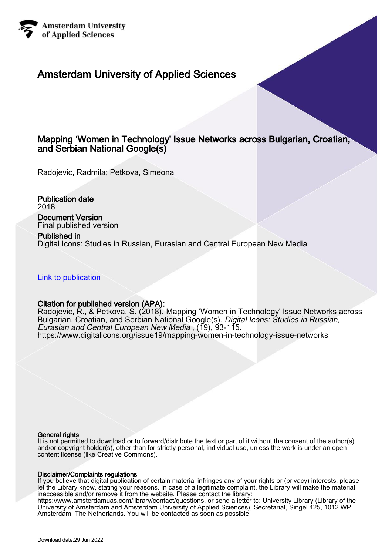

## Amsterdam University of Applied Sciences

## Mapping 'Women in Technology' Issue Networks across Bulgarian, Croatian, and Serbian National Google(s)

Radojevic, Radmila; Petkova, Simeona

Publication date 2018 Document Version Final published version

Published in Digital Icons: Studies in Russian, Eurasian and Central European New Media

[Link to publication](https://research.hva.nl/en/publications/2954549c-7097-499e-8d99-763808541188)

#### Citation for published version (APA):

Radojevic, R., & Petkova, S. (2018). Mapping 'Women in Technology' Issue Networks across Bulgarian, Croatian, and Serbian National Google(s). Digital Icons: Studies in Russian, Eurasian and Central European New Media , (19), 93-115. <https://www.digitalicons.org/issue19/mapping-women-in-technology-issue-networks>

#### General rights

It is not permitted to download or to forward/distribute the text or part of it without the consent of the author(s) and/or copyright holder(s), other than for strictly personal, individual use, unless the work is under an open content license (like Creative Commons).

#### Disclaimer/Complaints regulations

If you believe that digital publication of certain material infringes any of your rights or (privacy) interests, please let the Library know, stating your reasons. In case of a legitimate complaint, the Library will make the material inaccessible and/or remove it from the website. Please contact the library: https://www.amsterdamuas.com/library/contact/questions, or send a letter to: University Library (Library of the

University of Amsterdam and Amsterdam University of Applied Sciences), Secretariat, Singel 425, 1012 WP Amsterdam, The Netherlands. You will be contacted as soon as possible.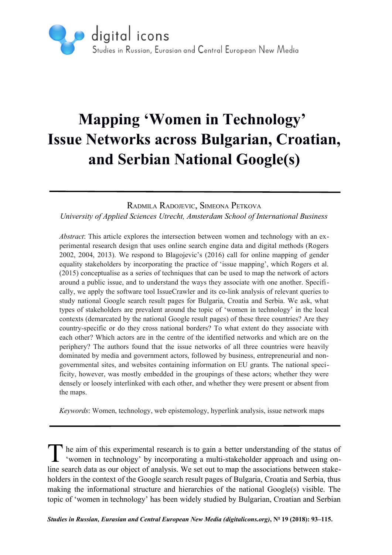

# **Mapping 'Women in Technology' Issue Networks across Bulgarian, Croatian, and Serbian National Google(s)**

RADMILA RADOJEVIC, SIMEONA PETKOVA

*University of Applied Sciences Utrecht, Amsterdam School of International Business*

*Abstract*: This article explores the intersection between women and technology with an experimental research design that uses online search engine data and digital methods (Rogers 2002, 2004, 2013). We respond to Blagojevic's (2016) call for online mapping of gender equality stakeholders by incorporating the practice of 'issue mapping', which Rogers et al. (2015) conceptualise as a series of techniques that can be used to map the network of actors around a public issue, and to understand the ways they associate with one another. Specifically, we apply the software tool IssueCrawler and its co-link analysis of relevant queries to study national Google search result pages for Bulgaria, Croatia and Serbia. We ask, what types of stakeholders are prevalent around the topic of 'women in technology' in the local contexts (demarcated by the national Google result pages) of these three countries? Are they country-specific or do they cross national borders? To what extent do they associate with each other? Which actors are in the centre of the identified networks and which are on the periphery? The authors found that the issue networks of all three countries were heavily dominated by media and government actors, followed by business, entrepreneurial and nongovernmental sites, and websites containing information on EU grants. The national specificity, however, was mostly embedded in the groupings of these actors; whether they were densely or loosely interlinked with each other, and whether they were present or absent from the maps.

*Keywords*: Women, technology, web epistemology, hyperlink analysis, issue network maps

he aim of this experimental research is to gain a better understanding of the status of The aim of this experimental research is to gain a better understanding of the status of 'women in technology' by incorporating a multi-stakeholder approach and using online search data as our object of analysis. We set out to map the associations between stakeholders in the context of the Google search result pages of Bulgaria, Croatia and Serbia, thus making the informational structure and hierarchies of the national Google(s) visible. The topic of 'women in technology' has been widely studied by Bulgarian, Croatian and Serbian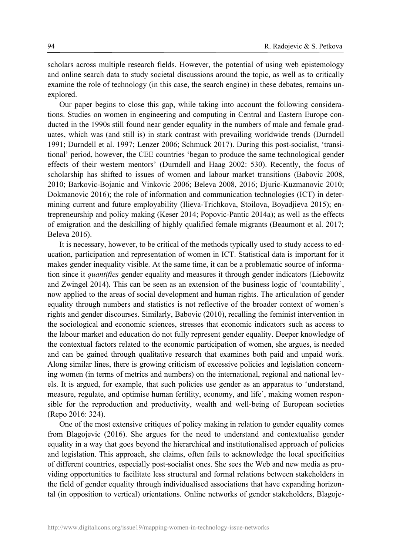scholars across multiple research fields. However, the potential of using web epistemology and online search data to study societal discussions around the topic, as well as to critically examine the role of technology (in this case, the search engine) in these debates, remains unexplored.

Our paper begins to close this gap, while taking into account the following considerations. Studies on women in engineering and computing in Central and Eastern Europe conducted in the 1990s still found near gender equality in the numbers of male and female graduates, which was (and still is) in stark contrast with prevailing worldwide trends (Durndell 1991; Durndell et al. 1997; Lenzer 2006; Schmuck 2017). During this post-socialist, 'transitional' period, however, the CEE countries 'began to produce the same technological gender effects of their western mentors' (Durndell and Haag 2002: 530). Recently, the focus of scholarship has shifted to issues of women and labour market transitions (Babovic 2008, 2010; Barkovic-Bojanic and Vinkovic 2006; Beleva 2008, 2016; Djuric-Kuzmanovic 2010; Dokmanovic 2016); the role of information and communication technologies (ICT) in determining current and future employability (Ilieva-Trichkova, Stoilova, Boyadjieva 2015); entrepreneurship and policy making (Keser 2014; Popovic-Pantic 2014a); as well as the effects of emigration and the deskilling of highly qualified female migrants (Beaumont et al. 2017; Beleva 2016).

It is necessary, however, to be critical of the methods typically used to study access to education, participation and representation of women in ICT. Statistical data is important for it makes gender inequality visible. At the same time, it can be a problematic source of information since it *quantifies* gender equality and measures it through gender indicators (Liebowitz and Zwingel 2014). This can be seen as an extension of the business logic of 'countability', now applied to the areas of social development and human rights. The articulation of gender equality through numbers and statistics is not reflective of the broader context of women's rights and gender discourses. Similarly, Babovic (2010), recalling the feminist intervention in the sociological and economic sciences, stresses that economic indicators such as access to the labour market and education do not fully represent gender equality. Deeper knowledge of the contextual factors related to the economic participation of women, she argues, is needed and can be gained through qualitative research that examines both paid and unpaid work. Along similar lines, there is growing criticism of excessive policies and legislation concerning women (in terms of metrics and numbers) on the international, regional and national levels. It is argued, for example, that such policies use gender as an apparatus to 'understand, measure, regulate, and optimise human fertility, economy, and life', making women responsible for the reproduction and productivity, wealth and well-being of European societies (Repo 2016: 324).

One of the most extensive critiques of policy making in relation to gender equality comes from Blagojevic (2016). She argues for the need to understand and contextualise gender equality in a way that goes beyond the hierarchical and institutionalised approach of policies and legislation. This approach, she claims, often fails to acknowledge the local specificities of different countries, especially post-socialist ones. She sees the Web and new media as providing opportunities to facilitate less structural and formal relations between stakeholders in the field of gender equality through individualised associations that have expanding horizontal (in opposition to vertical) orientations. Online networks of gender stakeholders, Blagoje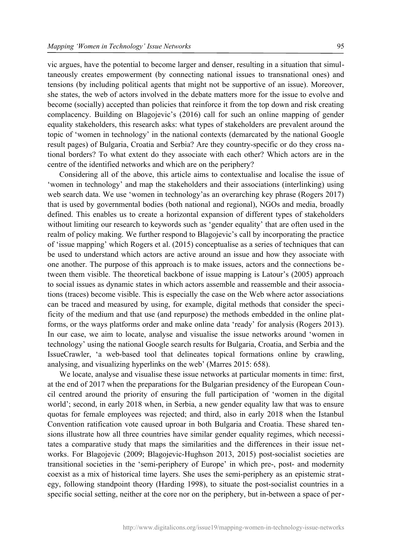vic argues, have the potential to become larger and denser, resulting in a situation that simultaneously creates empowerment (by connecting national issues to transnational ones) and tensions (by including political agents that might not be supportive of an issue). Moreover, she states, the web of actors involved in the debate matters more for the issue to evolve and become (socially) accepted than policies that reinforce it from the top down and risk creating complacency. Building on Blagojevic's (2016) call for such an online mapping of gender equality stakeholders, this research asks: what types of stakeholders are prevalent around the topic of 'women in technology' in the national contexts (demarcated by the national Google result pages) of Bulgaria, Croatia and Serbia? Are they country-specific or do they cross national borders? To what extent do they associate with each other? Which actors are in the centre of the identified networks and which are on the periphery?

Considering all of the above, this article aims to contextualise and localise the issue of 'women in technology' and map the stakeholders and their associations (interlinking) using web search data. We use 'women in technology'as an overarching key phrase (Rogers 2017) that is used by governmental bodies (both national and regional), NGOs and media, broadly defined. This enables us to create a horizontal expansion of different types of stakeholders without limiting our research to keywords such as 'gender equality' that are often used in the realm of policy making. We further respond to Blagojevic's call by incorporating the practice of 'issue mapping' which Rogers et al. (2015) conceptualise as a series of techniques that can be used to understand which actors are active around an issue and how they associate with one another. The purpose of this approach is to make issues, actors and the connections between them visible. The theoretical backbone of issue mapping is Latour's (2005) approach to social issues as dynamic states in which actors assemble and reassemble and their associations (traces) become visible. This is especially the case on the Web where actor associations can be traced and measured by using, for example, digital methods that consider the specificity of the medium and that use (and repurpose) the methods embedded in the online platforms, or the ways platforms order and make online data 'ready' for analysis (Rogers 2013). In our case, we aim to locate, analyse and visualise the issue networks around 'women in technology' using the national Google search results for Bulgaria, Croatia, and Serbia and the IssueCrawler, 'a web-based tool that delineates topical formations online by crawling, analysing, and visualizing hyperlinks on the web' (Marres 2015: 658).

We locate, analyse and visualise these issue networks at particular moments in time: first, at the end of 2017 when the preparations for the Bulgarian presidency of the European Council centred around the priority of ensuring the full participation of 'women in the digital world'; second, in early 2018 when, in Serbia, a new gender equality law that was to ensure quotas for female employees was rejected; and third, also in early 2018 when the Istanbul Convention ratification vote caused uproar in both Bulgaria and Croatia. These shared tensions illustrate how all three countries have similar gender equality regimes, which necessitates a comparative study that maps the similarities and the differences in their issue networks. For Blagojevic (2009; Blagojevic-Hughson 2013, 2015) post-socialist societies are transitional societies in the 'semi-periphery of Europe' in which pre-, post- and modernity coexist as a mix of historical time layers. She uses the semi-periphery as an epistemic strategy, following standpoint theory (Harding 1998), to situate the post-socialist countries in a specific social setting, neither at the core nor on the periphery, but in-between a space of per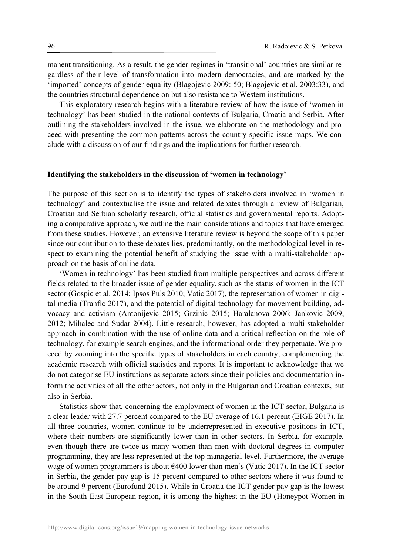manent transitioning. As a result, the gender regimes in 'transitional' countries are similar regardless of their level of transformation into modern democracies, and are marked by the 'imported' concepts of gender equality (Blagojevic 2009: 50; Blagojevic et al. 2003:33), and the countries structural dependence on but also resistance to Western institutions.

This exploratory research begins with a literature review of how the issue of 'women in technology' has been studied in the national contexts of Bulgaria, Croatia and Serbia. After outlining the stakeholders involved in the issue, we elaborate on the methodology and proceed with presenting the common patterns across the country-specific issue maps. We conclude with a discussion of our findings and the implications for further research.

#### **Identifying the stakeholders in the discussion of 'women in technology'**

The purpose of this section is to identify the types of stakeholders involved in 'women in technology' and contextualise the issue and related debates through a review of Bulgarian, Croatian and Serbian scholarly research, official statistics and governmental reports. Adopting a comparative approach, we outline the main considerations and topics that have emerged from these studies. However, an extensive literature review is beyond the scope of this paper since our contribution to these debates lies, predominantly, on the methodological level in respect to examining the potential benefit of studying the issue with a multi-stakeholder approach on the basis of online data.

'Women in technology' has been studied from multiple perspectives and across different fields related to the broader issue of gender equality, such as the status of women in the ICT sector (Gospic et al. 2014; Ipsos Puls 2010; Vatic 2017), the representation of women in digital media (Tranfic 2017), and the potential of digital technology for movement building, advocacy and activism (Antonijevic 2015; Grzinic 2015; Haralanova 2006; Jankovic 2009, 2012; Mihalec and Sudar 2004). Little research, however, has adopted a multi-stakeholder approach in combination with the use of online data and a critical reflection on the role of technology, for example search engines, and the informational order they perpetuate. We proceed by zooming into the specific types of stakeholders in each country, complementing the academic research with official statistics and reports. It is important to acknowledge that we do not categorise EU institutions as separate actors since their policies and documentation inform the activities of all the other actors, not only in the Bulgarian and Croatian contexts, but also in Serbia.

Statistics show that, concerning the employment of women in the ICT sector, Bulgaria is a clear leader with 27.7 percent compared to the EU average of 16.1 percent (EIGE 2017). In all three countries, women continue to be underrepresented in executive positions in ICT, where their numbers are significantly lower than in other sectors. In Serbia, for example, even though there are twice as many women than men with doctoral degrees in computer programming, they are less represented at the top managerial level. Furthermore, the average wage of women programmers is about €400 lower than men's (Vatic 2017). In the ICT sector in Serbia, the gender pay gap is 15 percent compared to other sectors where it was found to be around 9 percent (Eurofund 2015). While in Croatia the ICT gender pay gap is the lowest in the South-East European region, it is among the highest in the EU (Honeypot Women in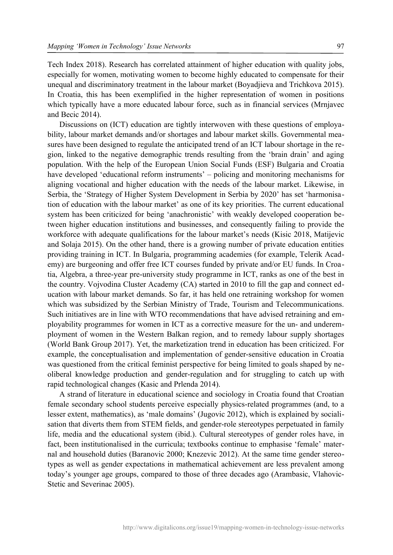Tech Index 2018). Research has correlated attainment of higher education with quality jobs, especially for women, motivating women to become highly educated to compensate for their unequal and discriminatory treatment in the labour market (Boyadjieva and Trichkova 2015). In Croatia, this has been exemplified in the higher representation of women in positions which typically have a more educated labour force, such as in financial services (Mrnjavec and Becic 2014).

Discussions on (ICT) education are tightly interwoven with these questions of employability, labour market demands and/or shortages and labour market skills. Governmental measures have been designed to regulate the anticipated trend of an ICT labour shortage in the region, linked to the negative demographic trends resulting from the 'brain drain' and aging population. With the help of the European Union Social Funds (ESF) Bulgaria and Croatia have developed 'educational reform instruments' – policing and monitoring mechanisms for aligning vocational and higher education with the needs of the labour market. Likewise, in Serbia, the 'Strategy of Higher System Development in Serbia by 2020' has set 'harmonisation of education with the labour market' as one of its key priorities. The current educational system has been criticized for being 'anachronistic' with weakly developed cooperation between higher education institutions and businesses, and consequently failing to provide the workforce with adequate qualifications for the labour market's needs (Kisic 2018, Matijevic and Solaja 2015). On the other hand, there is a growing number of private education entities providing training in ICT. In Bulgaria, programming academies (for example, Telerik Academy) are burgeoning and offer free ICT courses funded by private and/or EU funds. In Croatia, Algebra, a three-year pre-university study programme in ICT, ranks as one of the best in the country. Vojvodina Cluster Academy (CA) started in 2010 to fill the gap and connect education with labour market demands. So far, it has held one retraining workshop for women which was subsidized by the Serbian Ministry of Trade, Tourism and Telecommunications. Such initiatives are in line with WTO recommendations that have advised retraining and employability programmes for women in ICT as a corrective measure for the un- and underemployment of women in the Western Balkan region, and to remedy labour supply shortages (World Bank Group 2017). Yet, the marketization trend in education has been criticized. For example, the conceptualisation and implementation of gender-sensitive education in Croatia was questioned from the critical feminist perspective for being limited to goals shaped by neoliberal knowledge production and gender-regulation and for struggling to catch up with rapid technological changes (Kasic and Prlenda 2014).

A strand of literature in educational science and sociology in Croatia found that Croatian female secondary school students perceive especially physics-related programmes (and, to a lesser extent, mathematics), as 'male domains' (Jugovic 2012), which is explained by socialisation that diverts them from STEM fields, and gender-role stereotypes perpetuated in family life, media and the educational system (ibid.). Cultural stereotypes of gender roles have, in fact, been institutionalised in the curricula; textbooks continue to emphasise 'female' maternal and household duties (Baranovic 2000; Knezevic 2012). At the same time gender stereotypes as well as gender expectations in mathematical achievement are less prevalent among today's younger age groups, compared to those of three decades ago (Arambasic, Vlahovic-Stetic and Severinac 2005).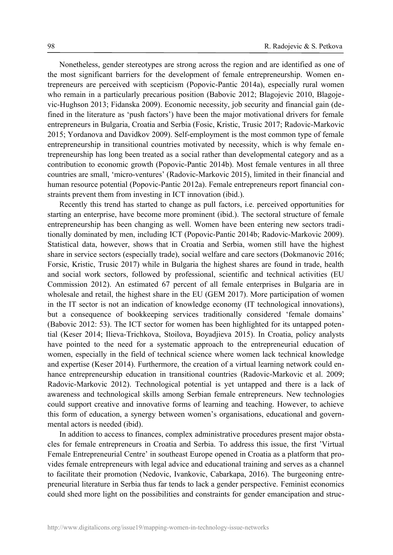Nonetheless, gender stereotypes are strong across the region and are identified as one of the most significant barriers for the development of female entrepreneurship. Women entrepreneurs are perceived with scepticism (Popovic-Pantic 2014a), especially rural women who remain in a particularly precarious position (Babovic 2012; Blagojevic 2010, Blagojevic-Hughson 2013; Fidanska 2009). Economic necessity, job security and financial gain (defined in the literature as 'push factors') have been the major motivational drivers for female entrepreneurs in Bulgaria, Croatia and Serbia (Fosic, Kristic, Trusic 2017; Radovic-Markovic 2015; Yordanova and Davidkov 2009). Self-employment is the most common type of female entrepreneurship in transitional countries motivated by necessity, which is why female entrepreneurship has long been treated as a social rather than developmental category and as a contribution to economic growth (Popovic-Pantic 2014b). Most female ventures in all three countries are small, 'micro-ventures' (Radovic-Markovic 2015), limited in their financial and human resource potential (Popovic-Pantic 2012a). Female entrepreneurs report financial constraints prevent them from investing in ICT innovation (ibid.).

Recently this trend has started to change as pull factors, i.e. perceived opportunities for starting an enterprise, have become more prominent (ibid.). The sectoral structure of female entrepreneurship has been changing as well. Women have been entering new sectors traditionally dominated by men, including ICT (Popovic-Pantic 2014b; Radovic-Markovic 2009). Statistical data, however, shows that in Croatia and Serbia, women still have the highest share in service sectors (especially trade), social welfare and care sectors (Dokmanovic 2016; Forsic, Kristic, Trusic 2017) while in Bulgaria the highest shares are found in trade, health and social work sectors, followed by professional, scientific and technical activities (EU Commission 2012). An estimated 67 percent of all female enterprises in Bulgaria are in wholesale and retail, the highest share in the EU (GEM 2017). More participation of women in the IT sector is not an indication of knowledge economy (IT technological innovations), but a consequence of bookkeeping services traditionally considered 'female domains' (Babovic 2012: 53). The ICT sector for women has been highlighted for its untapped potential (Keser 2014; Ilieva-Trichkova, Stoilova, Boyadjieva 2015). In Croatia, policy analysts have pointed to the need for a systematic approach to the entrepreneurial education of women, especially in the field of technical science where women lack technical knowledge and expertise (Keser 2014). Furthermore, the creation of a virtual learning network could enhance entrepreneurship education in transitional countries (Radovic-Markovic et al. 2009; Radovic-Markovic 2012). Technological potential is yet untapped and there is a lack of awareness and technological skills among Serbian female entrepreneurs. New technologies could support creative and innovative forms of learning and teaching. However, to achieve this form of education, a synergy between women's organisations, educational and governmental actors is needed (ibid).

In addition to access to finances, complex administrative procedures present major obstacles for female entrepreneurs in Croatia and Serbia. To address this issue, the first 'Virtual Female Entrepreneurial Centre' in southeast Europe opened in Croatia as a platform that provides female entrepreneurs with legal advice and educational training and serves as a channel to facilitate their promotion (Nedovic, Ivankovic, Cabarkapa, 2016). The burgeoning entrepreneurial literature in Serbia thus far tends to lack a gender perspective. Feminist economics could shed more light on the possibilities and constraints for gender emancipation and struc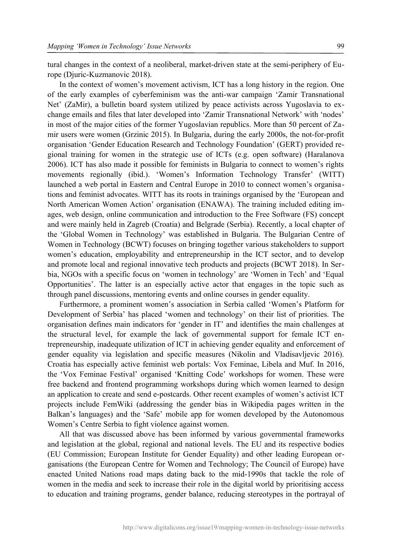tural changes in the context of a neoliberal, market-driven state at the semi-periphery of Europe (Djuric-Kuzmanovic 2018).

In the context of women's movement activism, ICT has a long history in the region. One of the early examples of cyberfeminism was the anti-war campaign 'Zamir Transnational Net' (ZaMir), a bulletin board system utilized by peace activists across Yugoslavia to exchange emails and files that later developed into 'Zamir Transnational Network' with 'nodes' in most of the major cities of the former Yugoslavian republics. More than 50 percent of Zamir users were women (Grzinic 2015). In Bulgaria, during the early 2000s, the not-for-profit organisation 'Gender Education Research and Technology Foundation' (GERT) provided regional training for women in the strategic use of ICTs (e.g. open software) (Haralanova 2006). ICT has also made it possible for feminists in Bulgaria to connect to women's rights movements regionally (ibid.). 'Women's Information Technology Transfer' (WITT) launched a web portal in Eastern and Central Europe in 2010 to connect women's organisations and feminist advocates. WITT has its roots in trainings organised by the 'European and North American Women Action' organisation (ENAWA). The training included editing images, web design, online communication and introduction to the Free Software (FS) concept and were mainly held in Zagreb (Croatia) and Belgrade (Serbia). Recently, a local chapter of the 'Global Women in Technology' was established in Bulgaria. The Bulgarian Centre of Women in Technology (BCWT) focuses on bringing together various stakeholders to support women's education, employability and entrepreneurship in the ICT sector, and to develop and promote local and regional innovative tech products and projects (BCWT 2018). In Serbia, NGOs with a specific focus on 'women in technology' are 'Women in Tech' and 'Equal Opportunities'. The latter is an especially active actor that engages in the topic such as through panel discussions, mentoring events and online courses in gender equality.

Furthermore, a prominent women's association in Serbia called 'Women's Platform for Development of Serbia' has placed 'women and technology' on their list of priorities. The organisation defines main indicators for 'gender in IT' and identifies the main challenges at the structural level, for example the lack of governmental support for female ICT entrepreneurship, inadequate utilization of ICT in achieving gender equality and enforcement of gender equality via legislation and specific measures (Nikolin and Vladisavljevic 2016). Croatia has especially active feminist web portals: Vox Feminae, Libela and Muf. In 2016, the 'Vox Feminae Festival' organised 'Knitting Code' workshops for women. These were free backend and frontend programming workshops during which women learned to design an application to create and send e-postcards. Other recent examples of women's activist ICT projects include FemWiki (addressing the gender bias in Wikipedia pages written in the Balkan's languages) and the 'Safe' mobile app for women developed by the Autonomous Women's Centre Serbia to fight violence against women.

All that was discussed above has been informed by various governmental frameworks and legislation at the global, regional and national levels. The EU and its respective bodies (EU Commission; European Institute for Gender Equality) and other leading European organisations (the European Centre for Women and Technology; The Council of Europe) have enacted United Nations road maps dating back to the mid-1990s that tackle the role of women in the media and seek to increase their role in the digital world by prioritising access to education and training programs, gender balance, reducing stereotypes in the portrayal of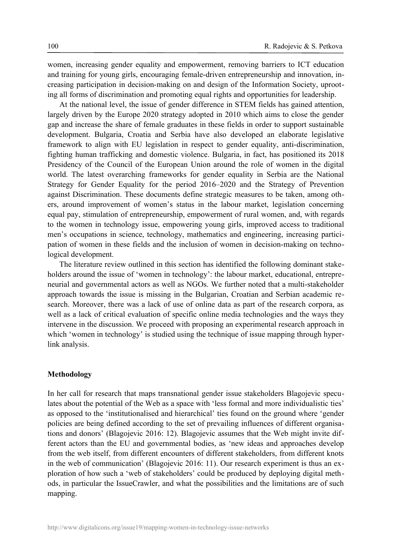women, increasing gender equality and empowerment, removing barriers to ICT education and training for young girls, encouraging female-driven entrepreneurship and innovation, increasing participation in decision-making on and design of the Information Society, uprooting all forms of discrimination and promoting equal rights and opportunities for leadership.

At the national level, the issue of gender difference in STEM fields has gained attention, largely driven by the Europe 2020 strategy adopted in 2010 which aims to close the gender gap and increase the share of female graduates in these fields in order to support sustainable development. Bulgaria, Croatia and Serbia have also developed an elaborate legislative framework to align with EU legislation in respect to gender equality, anti-discrimination, fighting human trafficking and domestic violence. Bulgaria, in fact, has positioned its 2018 Presidency of the Council of the European Union around the role of women in the digital world. The latest overarching frameworks for gender equality in Serbia are the National Strategy for Gender Equality for the period 2016–2020 and the Strategy of Prevention against Discrimination. These documents define strategic measures to be taken, among others, around improvement of women's status in the labour market, legislation concerning equal pay, stimulation of entrepreneurship, empowerment of rural women, and, with regards to the women in technology issue, empowering young girls, improved access to traditional men's occupations in science, technology, mathematics and engineering, increasing participation of women in these fields and the inclusion of women in decision-making on technological development.

The literature review outlined in this section has identified the following dominant stakeholders around the issue of 'women in technology': the labour market, educational, entrepreneurial and governmental actors as well as NGOs. We further noted that a multi-stakeholder approach towards the issue is missing in the Bulgarian, Croatian and Serbian academic research. Moreover, there was a lack of use of online data as part of the research corpora, as well as a lack of critical evaluation of specific online media technologies and the ways they intervene in the discussion. We proceed with proposing an experimental research approach in which 'women in technology' is studied using the technique of issue mapping through hyperlink analysis.

#### **Methodology**

In her call for research that maps transnational gender issue stakeholders Blagojevic speculates about the potential of the Web as a space with 'less formal and more individualistic ties' as opposed to the 'institutionalised and hierarchical' ties found on the ground where 'gender policies are being defined according to the set of prevailing influences of different organisations and donors' (Blagojevic 2016: 12). Blagojevic assumes that the Web might invite different actors than the EU and governmental bodies, as 'new ideas and approaches develop from the web itself, from different encounters of different stakeholders, from different knots in the web of communication' (Blagojevic 2016: 11). Our research experiment is thus an exploration of how such a 'web of stakeholders' could be produced by deploying digital methods, in particular the IssueCrawler, and what the possibilities and the limitations are of such mapping.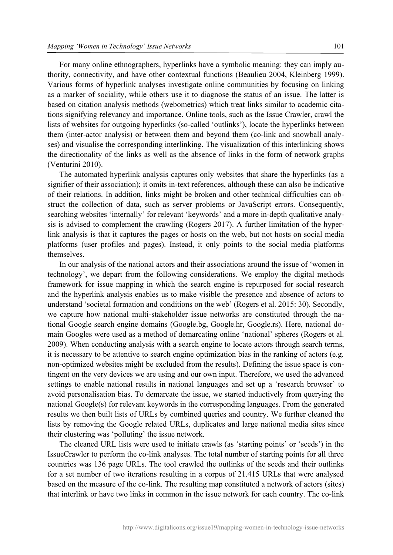For many online ethnographers, hyperlinks have a symbolic meaning: they can imply authority, connectivity, and have other contextual functions (Beaulieu 2004, Kleinberg 1999). Various forms of hyperlink analyses investigate online communities by focusing on linking as a marker of sociality, while others use it to diagnose the status of an issue. The latter is based on citation analysis methods (webometrics) which treat links similar to academic citations signifying relevancy and importance. Online tools, such as the Issue Crawler, crawl the lists of websites for outgoing hyperlinks (so-called 'outlinks'), locate the hyperlinks between them (inter-actor analysis) or between them and beyond them (co-link and snowball analyses) and visualise the corresponding interlinking. The visualization of this interlinking shows the directionality of the links as well as the absence of links in the form of network graphs (Venturini 2010).

The automated hyperlink analysis captures only websites that share the hyperlinks (as a signifier of their association); it omits in-text references, although these can also be indicative of their relations. In addition, links might be broken and other technical difficulties can obstruct the collection of data, such as server problems or JavaScript errors. Consequently, searching websites 'internally' for relevant 'keywords' and a more in-depth qualitative analysis is advised to complement the crawling (Rogers 2017). A further limitation of the hyperlink analysis is that it captures the pages or hosts on the web, but not hosts on social media platforms (user profiles and pages). Instead, it only points to the social media platforms themselves.

In our analysis of the national actors and their associations around the issue of 'women in technology', we depart from the following considerations. We employ the digital methods framework for issue mapping in which the search engine is repurposed for social research and the hyperlink analysis enables us to make visible the presence and absence of actors to understand 'societal formation and conditions on the web' (Rogers et al. 2015: 30). Secondly, we capture how national multi-stakeholder issue networks are constituted through the national Google search engine domains (Google.bg, Google.hr, Google.rs). Here, national domain Googles were used as a method of demarcating online 'national' spheres (Rogers et al. 2009). When conducting analysis with a search engine to locate actors through search terms, it is necessary to be attentive to search engine optimization bias in the ranking of actors (e.g. non-optimized websites might be excluded from the results). Defining the issue space is contingent on the very devices we are using and our own input. Therefore, we used the advanced settings to enable national results in national languages and set up a 'research browser' to avoid personalisation bias. To demarcate the issue, we started inductively from querying the national Google(s) for relevant keywords in the corresponding languages. From the generated results we then built lists of URLs by combined queries and country. We further cleaned the lists by removing the Google related URLs, duplicates and large national media sites since their clustering was 'polluting' the issue network.

The cleaned URL lists were used to initiate crawls (as 'starting points' or 'seeds') in the IssueCrawler to perform the co-link analyses. The total number of starting points for all three countries was 136 page URLs. The tool crawled the outlinks of the seeds and their outlinks for a set number of two iterations resulting in a corpus of 21.415 URLs that were analysed based on the measure of the co-link. The resulting map constituted a network of actors (sites) that interlink or have two links in common in the issue network for each country. The co-link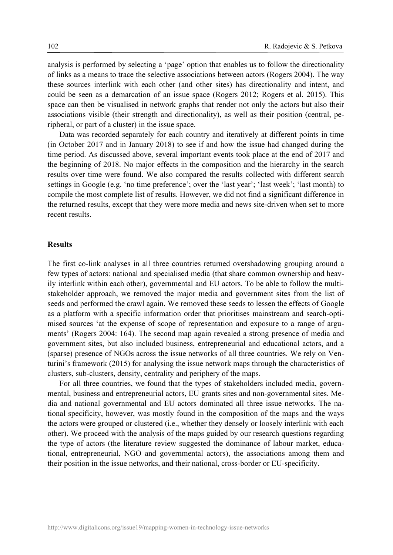analysis is performed by selecting a 'page' option that enables us to follow the directionality of links as a means to trace the selective associations between actors (Rogers 2004). The way these sources interlink with each other (and other sites) has directionality and intent, and could be seen as a demarcation of an issue space (Rogers 2012; Rogers et al. 2015). This space can then be visualised in network graphs that render not only the actors but also their associations visible (their strength and directionality), as well as their position (central, peripheral, or part of a cluster) in the issue space.

Data was recorded separately for each country and iteratively at different points in time (in October 2017 and in January 2018) to see if and how the issue had changed during the time period. As discussed above, several important events took place at the end of 2017 and the beginning of 2018. No major effects in the composition and the hierarchy in the search results over time were found. We also compared the results collected with different search settings in Google (e.g. 'no time preference'; over the 'last year'; 'last week'; 'last month) to compile the most complete list of results. However, we did not find a significant difference in the returned results, except that they were more media and news site-driven when set to more recent results.

#### **Results**

The first co-link analyses in all three countries returned overshadowing grouping around a few types of actors: national and specialised media (that share common ownership and heavily interlink within each other), governmental and EU actors. To be able to follow the multistakeholder approach, we removed the major media and government sites from the list of seeds and performed the crawl again. We removed these seeds to lessen the effects of Google as a platform with a specific information order that prioritises mainstream and search-optimised sources 'at the expense of scope of representation and exposure to a range of arguments' (Rogers 2004: 164). The second map again revealed a strong presence of media and government sites, but also included business, entrepreneurial and educational actors, and a (sparse) presence of NGOs across the issue networks of all three countries. We rely on Venturini's framework (2015) for analysing the issue network maps through the characteristics of clusters, sub-clusters, density, centrality and periphery of the maps.

For all three countries, we found that the types of stakeholders included media, governmental, business and entrepreneurial actors, EU grants sites and non-governmental sites. Media and national governmental and EU actors dominated all three issue networks. The national specificity, however, was mostly found in the composition of the maps and the ways the actors were grouped or clustered (i.e., whether they densely or loosely interlink with each other). We proceed with the analysis of the maps guided by our research questions regarding the type of actors (the literature review suggested the dominance of labour market, educational, entrepreneurial, NGO and governmental actors), the associations among them and their position in the issue networks, and their national, cross-border or EU-specificity.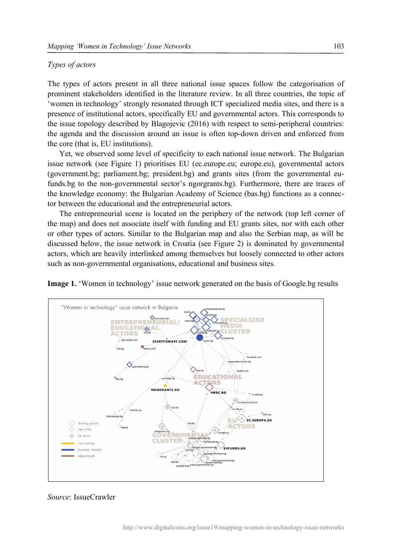#### *Types of actors*

The types of actors present in all three national issue spaces follow the categorisation of prominent stakeholders identified in the literature review. In all three countries, the topic of 'women in technology' strongly resonated through ICT specialized media sites, and there is a presence of institutional actors, specifically EU and governmental actors. This corresponds to the issue topology described by Blagojevic (2016) with respect to semi-peripheral countries: the agenda and the discussion around an issue is often top-down driven and enforced from the core (that is, EU institutions).

Yet, we observed some level of specificity to each national issue network. The Bulgarian issue network (see Figure 1) prioritises EU (ec.europe.eu; europe.eu), governmental actors (government.bg; parliament.bg; president.bg) and grants sites (from the governmental eufunds.bg to the non-governmental sector's ngorgrants.bg). Furthermore, there are traces of the knowledge economy: the Bulgarian Academy of Science (bas.bg) functions as a connector between the educational and the entrepreneurial actors.

The entrepreneurial scene is located on the periphery of the network (top left corner of the map) and does not associate itself with funding and EU grants sites, nor with each other or other types of actors. Similar to the Bulgarian map and also the Serbian map, as will be discussed below, the issue network in Croatia (see Figure 2) is dominated by governmental actors, which are heavily interlinked among themselves but loosely connected to other actors such as non-governmental organisations, educational and business sites.





#### *Source*: IssueCrawler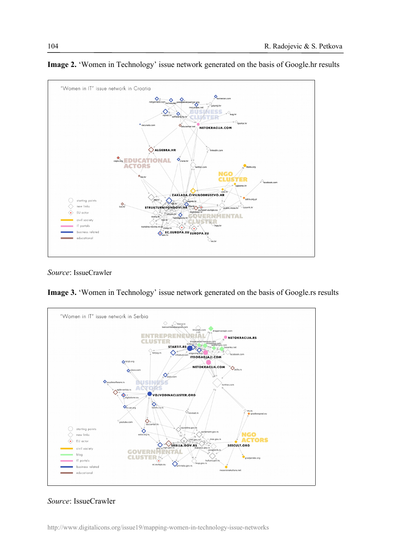

**Image 2.** 'Women in Technology' issue network generated on the basis of Google.hr results

*Source*: IssueCrawler

**Image 3.** 'Women in Technology' issue network generated on the basis of Google.rs results



### *Source*: IssueCrawler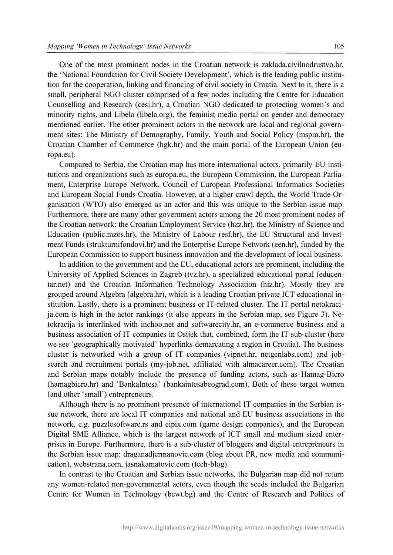One of the most prominent nodes in the Croatian network is zaklada.civilnodrustvo.hr, the 'National Foundation for Civil Society Development', which is the leading public institution for the cooperation, linking and financing of civil society in Croatia. Next to it, there is a small, peripheral NGO cluster comprised of a few nodes including the Centre for Education Counselling and Research (cesi.hr), a Croatian NGO dedicated to protecting women's and minority rights, and Libela (libela.org), the feminist media portal on gender and democracy mentioned earlier. The other prominent actors in the network are local and regional government sites: The Ministry of Demography, Family, Youth and Social Policy (mspm.hr), the Croatian Chamber of Commerce (hgk.hr) and the main portal of the European Union (europa.eu).

Compared to Serbia, the Croatian map has more international actors, primarily EU institutions and organizations such as europa.eu, the European Commission, the European Parliament, Enterprise Europe Network, Council of European Professional Informatics Societies and European Social Funds Croatia. However, at a higher crawl depth, the World Trade Organisation (WTO) also emerged as an actor and this was unique to the Serbian issue map. Furthermore, there are many other government actors among the 20 most prominent nodes of the Croatian network: the Croatian Employment Service (hzz.hr), the Ministry of Science and Education (public.mzos.hr), the Ministry of Labour (esf.hr), the EU Structural and Investment Funds (strukturnifondovi.hr) and the Enterprise Europe Network (een.hr), funded by the European Commission to support business innovation and the development of local business.

In addition to the government and the EU, educational actors are prominent, including the University of Applied Sciences in Zagreb (tvz.hr), a specialized educational portal (educentar.net) and the Croatian Information Technology Association (hiz.hr). Mostly they are grouped around Algebra (algebra.hr), which is a leading Croatian private ICT educational institution. Lastly, there is a prominent business or IT-related cluster. The IT portal netokracija.com is high in the actor rankings (it also appears in the Serbian map, see Figure 3). Netokracija is interlinked with inchoo.net and softwarecity.hr, an e-commerce business and a business association of IT companies in Osijek that, combined, form the IT sub-cluster (here we see 'geographically motivated' hyperlinks demarcating a region in Croatia). The business cluster is networked with a group of IT companies (vipnet.hr, netgenlabs.com) and jobsearch and recruitment portals (my-job.net, affiliated with almacareer.com). The Croatian and Serbian maps notably include the presence of funding actors, such as Hamag-Bicro (hamagbicro.hr) and 'BankaIntesa' (bankaintesabeograd.com). Both of these target women (and other 'small') entrepreneurs.

Although there is no prominent presence of international IT companies in the Serbian issue network, there are local IT companies and national and EU business associations in the network, e.g. puzzlesoftware.rs and eipix.com (game design companies), and the European Digital SME Alliance, which is the largest network of ICT small and medium sized enterprises in Europe. Furthermore, there is a sub-cluster of bloggers and digital entrepreneurs in the Serbian issue map: draganadjermanovic.com (blog about PR, new media and communication), webstrana.com, jasnakamatovic.com (tech-blog).

In contrast to the Croatian and Serbian issue networks, the Bulgarian map did not return any women-related non-governmental actors, even though the seeds included the Bulgarian Centre for Women in Technology (bcwt.bg) and the Centre of Research and Politics of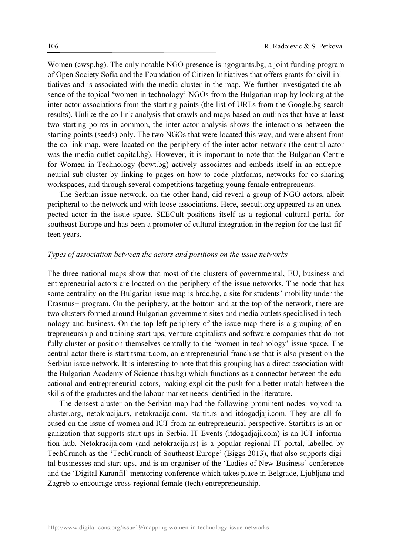Women (cwsp.bg). The only notable NGO presence is ngogrants.bg, a joint funding program of Open Society Sofia and the Foundation of Citizen Initiatives that offers grants for civil initiatives and is associated with the media cluster in the map. We further investigated the absence of the topical 'women in technology' NGOs from the Bulgarian map by looking at the inter-actor associations from the starting points (the list of URLs from the Google.bg search results). Unlike the co-link analysis that crawls and maps based on outlinks that have at least two starting points in common, the inter-actor analysis shows the interactions between the starting points (seeds) only. The two NGOs that were located this way, and were absent from the co-link map, were located on the periphery of the inter-actor network (the central actor was the media outlet capital.bg). However, it is important to note that the Bulgarian Centre for Women in Technology (bcwt.bg) actively associates and embeds itself in an entrepreneurial sub-cluster by linking to pages on how to code platforms, networks for co-sharing workspaces, and through several competitions targeting young female entrepreneurs.

The Serbian issue network, on the other hand, did reveal a group of NGO actors, albeit peripheral to the network and with loose associations. Here, seecult.org appeared as an unexpected actor in the issue space. SEECult positions itself as a regional cultural portal for southeast Europe and has been a promoter of cultural integration in the region for the last fifteen years.

#### *Types of association between the actors and positions on the issue networks*

The three national maps show that most of the clusters of governmental, EU, business and entrepreneurial actors are located on the periphery of the issue networks. The node that has some centrality on the Bulgarian issue map is hrdc.bg, a site for students' mobility under the Erasmus+ program. On the periphery, at the bottom and at the top of the network, there are two clusters formed around Bulgarian government sites and media outlets specialised in technology and business. On the top left periphery of the issue map there is a grouping of entrepreneurship and training start-ups, venture capitalists and software companies that do not fully cluster or position themselves centrally to the 'women in technology' issue space. The central actor there is startitsmart.com, an entrepreneurial franchise that is also present on the Serbian issue network. It is interesting to note that this grouping has a direct association with the Bulgarian Academy of Science (bas.bg) which functions as a connector between the educational and entrepreneurial actors, making explicit the push for a better match between the skills of the graduates and the labour market needs identified in the literature.

The densest cluster on the Serbian map had the following prominent nodes: vojvodinacluster.org, netokracija.rs, netokracija.com, startit.rs and itdogadjaji.com. They are all focused on the issue of women and ICT from an entrepreneurial perspective. Startit.rs is an organization that supports start-ups in Serbia. IT Events (itdogadjaji.com) is an ICT information hub. Netokracija.com (and netokracija.rs) is a popular regional IT portal, labelled by TechCrunch as the 'TechCrunch of Southeast Europe' (Biggs 2013), that also supports digital businesses and start-ups, and is an organiser of the 'Ladies of New Business' conference and the 'Digital Karanfil' mentoring conference which takes place in Belgrade, Ljubljana and Zagreb to encourage cross-regional female (tech) entrepreneurship.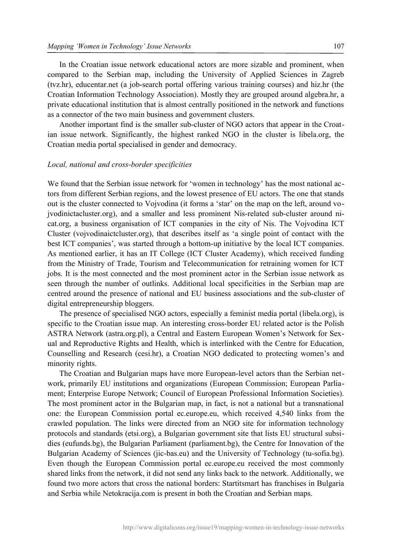In the Croatian issue network educational actors are more sizable and prominent, when compared to the Serbian map, including the University of Applied Sciences in Zagreb (tvz.hr), educentar.net (a job-search portal offering various training courses) and hiz.hr (the Croatian Information Technology Association). Mostly they are grouped around algebra.hr, a private educational institution that is almost centrally positioned in the network and functions as a connector of the two main business and government clusters.

Another important find is the smaller sub-cluster of NGO actors that appear in the Croatian issue network. Significantly, the highest ranked NGO in the cluster is libela.org, the Croatian media portal specialised in gender and democracy.

#### *Local, national and cross-border specificities*

We found that the Serbian issue network for 'women in technology' has the most national actors from different Serbian regions, and the lowest presence of EU actors. The one that stands out is the cluster connected to Vojvodina (it forms a 'star' on the map on the left, around vojvodinictacluster.org), and a smaller and less prominent Nis-related sub-cluster around nicat.org, a business organisation of ICT companies in the city of Nis. The Vojvodina ICT Cluster (vojvodinaictcluster.org), that describes itself as 'a single point of contact with the best ICT companies', was started through a bottom-up initiative by the local ICT companies. As mentioned earlier, it has an IT College (ICT Cluster Academy), which received funding from the Ministry of Trade, Tourism and Telecommunication for retraining women for ICT jobs. It is the most connected and the most prominent actor in the Serbian issue network as seen through the number of outlinks. Additional local specificities in the Serbian map are centred around the presence of national and EU business associations and the sub-cluster of digital entrepreneurship bloggers.

The presence of specialised NGO actors, especially a feminist media portal (libela.org), is specific to the Croatian issue map. An interesting cross-border EU related actor is the Polish ASTRA Network (astra.org.pl), a Central and Eastern European Women's Network for Sexual and Reproductive Rights and Health, which is interlinked with the Centre for Education, Counselling and Research (cesi.hr), a Croatian NGO dedicated to protecting women's and minority rights.

The Croatian and Bulgarian maps have more European-level actors than the Serbian network, primarily EU institutions and organizations (European Commission; European Parliament; Enterprise Europe Network; Council of European Professional Information Societies). The most prominent actor in the Bulgarian map, in fact, is not a national but a transnational one: the European Commission portal ec.europe.eu, which received 4,540 links from the crawled population. The links were directed from an NGO site for information technology protocols and standards (etsi.org), a Bulgarian government site that lists EU structural subsidies (eufunds.bg), the Bulgarian Parliament (parliament.bg), the Centre for Innovation of the Bulgarian Academy of Sciences (jic-bas.eu) and the University of Technology (tu-sofia.bg). Even though the European Commission portal ec.europe.eu received the most commonly shared links from the network, it did not send any links back to the network. Additionally, we found two more actors that cross the national borders: Startitsmart has franchises in Bulgaria and Serbia while Netokracija.com is present in both the Croatian and Serbian maps.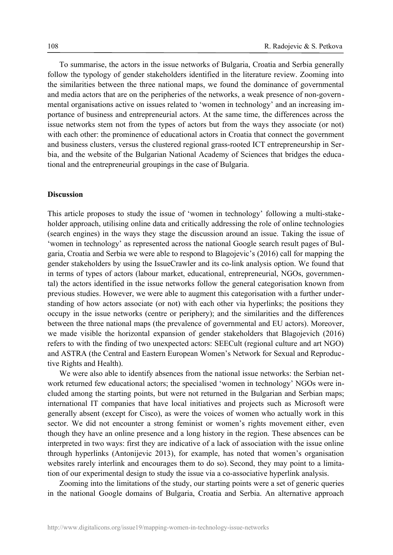To summarise, the actors in the issue networks of Bulgaria, Croatia and Serbia generally follow the typology of gender stakeholders identified in the literature review. Zooming into the similarities between the three national maps, we found the dominance of governmental and media actors that are on the peripheries of the networks, a weak presence of non-governmental organisations active on issues related to 'women in technology' and an increasing importance of business and entrepreneurial actors. At the same time, the differences across the issue networks stem not from the types of actors but from the ways they associate (or not) with each other: the prominence of educational actors in Croatia that connect the government and business clusters, versus the clustered regional grass-rooted ICT entrepreneurship in Serbia, and the website of the Bulgarian National Academy of Sciences that bridges the educational and the entrepreneurial groupings in the case of Bulgaria.

#### **Discussion**

This article proposes to study the issue of 'women in technology' following a multi-stakeholder approach, utilising online data and critically addressing the role of online technologies (search engines) in the ways they stage the discussion around an issue. Taking the issue of 'women in technology' as represented across the national Google search result pages of Bulgaria, Croatia and Serbia we were able to respond to Blagojevic's (2016) call for mapping the gender stakeholders by using the IssueCrawler and its co-link analysis option. We found that in terms of types of actors (labour market, educational, entrepreneurial, NGOs, governmental) the actors identified in the issue networks follow the general categorisation known from previous studies. However, we were able to augment this categorisation with a further understanding of how actors associate (or not) with each other via hyperlinks; the positions they occupy in the issue networks (centre or periphery); and the similarities and the differences between the three national maps (the prevalence of governmental and EU actors). Moreover, we made visible the horizontal expansion of gender stakeholders that Blagojevich (2016) refers to with the finding of two unexpected actors: SEECult (regional culture and art NGO) and ASTRA (the Central and Eastern European Women's Network for Sexual and Reproductive Rights and Health).

We were also able to identify absences from the national issue networks: the Serbian network returned few educational actors; the specialised 'women in technology' NGOs were included among the starting points, but were not returned in the Bulgarian and Serbian maps; international IT companies that have local initiatives and projects such as Microsoft were generally absent (except for Cisco), as were the voices of women who actually work in this sector. We did not encounter a strong feminist or women's rights movement either, even though they have an online presence and a long history in the region. These absences can be interpreted in two ways: first they are indicative of a lack of association with the issue online through hyperlinks (Antonijevic 2013), for example, has noted that women's organisation websites rarely interlink and encourages them to do so). Second, they may point to a limitation of our experimental design to study the issue via a co-associative hyperlink analysis.

Zooming into the limitations of the study, our starting points were a set of generic queries in the national Google domains of Bulgaria, Croatia and Serbia. An alternative approach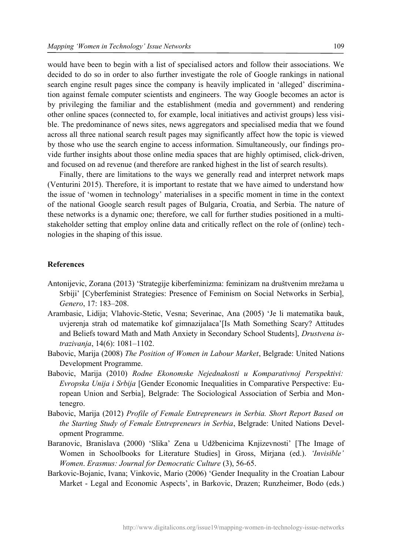would have been to begin with a list of specialised actors and follow their associations. We decided to do so in order to also further investigate the role of Google rankings in national search engine result pages since the company is heavily implicated in 'alleged' discrimination against female computer scientists and engineers. The way Google becomes an actor is by privileging the familiar and the establishment (media and government) and rendering other online spaces (connected to, for example, local initiatives and activist groups) less visible. The predominance of news sites, news aggregators and specialised media that we found across all three national search result pages may significantly affect how the topic is viewed by those who use the search engine to access information. Simultaneously, our findings provide further insights about those online media spaces that are highly optimised, click-driven, and focused on ad revenue (and therefore are ranked highest in the list of search results).

Finally, there are limitations to the ways we generally read and interpret network maps (Venturini 2015). Therefore, it is important to restate that we have aimed to understand how the issue of 'women in technology' materialises in a specific moment in time in the context of the national Google search result pages of Bulgaria, Croatia, and Serbia. The nature of these networks is a dynamic one; therefore, we call for further studies positioned in a multistakeholder setting that employ online data and critically reflect on the role of (online) technologies in the shaping of this issue.

#### **References**

- Antonijevic, Zorana (2013) 'Strategije kiberfeminizma: feminizam na društvenim mrežama u Srbiji' [Cyberfeminist Strategies: Presence of Feminism on Social Networks in Serbia], *Genero*, 17: 183–208.
- Arambasic, Lidija; Vlahovic-Stetic, Vesna; Severinac, Ana (2005) 'Je li matematika bauk, uvjerenja strah od matematike kof gimnazijalaca'[Is Math Something Scary? Attitudes and Beliefs toward Math and Math Anxiety in Secondary School Students], *Drustvena istrazivanja*, 14(6): 1081–1102.
- Babovic, Marija (2008) *The Position of Women in Labour Market*, Belgrade: United Nations Development Programme.
- Babovic, Marija (2010) *Rodne Ekonomske Nejednakosti u Komparativnoj Perspektivi: Evropska Unija i Srbija* [Gender Economic Inequalities in Comparative Perspective: European Union and Serbia], Belgrade: The Sociological Association of Serbia and Montenegro.
- Babovic, Marija (2012) *Profile of Female Entrepreneurs in Serbia. Short Report Based on the Starting Study of Female Entrepreneurs in Serbia*, Belgrade: United Nations Development Programme.
- Baranovic, Branislava (2000) 'Slika' Zena u Udžbenicima Knjizevnosti' [The Image of Women in Schoolbooks for Literature Studies] in Gross, Mirjana (ed.). *'Invisible' Women*. *Erasmus: Journal for Democratic Culture* (3), 56-65.
- Barkovic-Bojanic, Ivana; Vinkovic, Mario (2006) 'Gender Inequality in the Croatian Labour Market - Legal and Economic Aspects', in Barkovic, Drazen; Runzheimer, Bodo (eds.)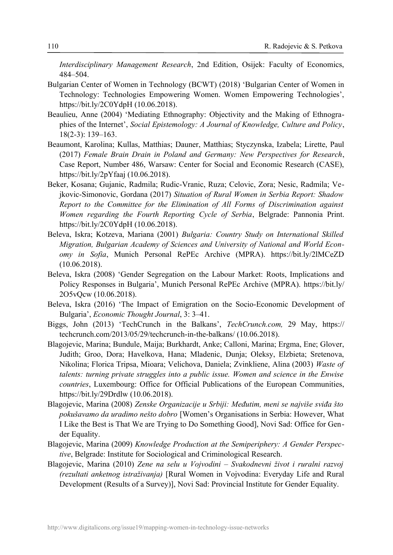*Interdisciplinary Management Research*, 2nd Edition, Osijek: Faculty of Economics, 484–504.

- Bulgarian Center of Women in Technology (BCWT) (2018) 'Bulgarian Center of Women in Technology: Technologies Empowering Women. Women Empowering Technologies', https://bit.ly/2C0YdpH (10.06.2018).
- Beaulieu, Anne (2004) 'Mediating Ethnography: Objectivity and the Making of Ethnographies of the Internet', *Social Epistemology: A Journal of Knowledge, Culture and Policy*, 18(2-3): 139–163.
- Beaumont, Karolina; Kullas, Matthias; Dauner, Matthias; Styczynska, Izabela; Lirette, Paul (2017) *Female Brain Drain in Poland and Germany: New Perspectives for Research*, Case Report, Number 486, Warsaw: Center for Social and Economic Research (CASE), https://bit.ly/2pYfaaj (10.06.2018).
- Beker, Kosana; Gujanic, Radmila; Rudic-Vranic, Ruza; Celovic, Zora; Nesic, Radmila; Vejkovic-Simonovic, Gordana (2017) *Situation of Rural Women in Serbia Report: Shadow Report to the Committee for the Elimination of All Forms of Discrimination against Women regarding the Fourth Reporting Cycle of Serbia*, Belgrade: Pannonia Print. https://bit.ly/2C0YdpH (10.06.2018).
- Beleva, Iskra; Kotzeva, Mariana (2001) *Bulgaria: Country Study on International Skilled Migration, Bulgarian Academy of Sciences and University of National and World Economy in Sofia*, Munich Personal RePEc Archive (MPRA). https://bit.ly/2lMCeZD (10.06.2018).
- Beleva, Iskra (2008) 'Gender Segregation on the Labour Market: Roots, Implications and Policy Responses in Bulgaria', Munich Personal RePEc Archive (MPRA). [https://bit.ly/](https://bit.ly/2O5vQcw) [2O5vQcw](https://bit.ly/2O5vQcw) (10.06.2018).
- Beleva, Iskra (2016) 'The Impact of Emigration on the Socio-Economic Development of Bulgaria', *Economic Thought Journal*, 3: 3–41.
- Biggs, John (2013) 'TechCrunch in the Balkans', *TechCrunch.com,* 29 May, https:// techcrunch.com/2013/05/29/techcrunch-in-the-balkans/ (10.06.2018).
- Blagojevic, Marina; Bundule, Maija; Burkhardt, Anke; Calloni, Marina; Ergma, Ene; Glover, Judith; Groo, Dora; Havelkova, Hana; Mladenic, Dunja; Oleksy, Elzbieta; Sretenova, Nikolina; Florica Tripsa, Mioara; Velichova, Daniela; Zvinkliene, Alina (2003) *Waste of talents: turning private struggles into a public issue. Women and science in the Enwise countries*, Luxembourg: Office for Official Publications of the European Communities, https://bit.ly/29Drdlw (10.06.2018).
- Blagojevic, Marina (2008) *Zenske Organizacije u Srbiji: Međutim, meni se najviše sviđa što pokušavamo da uradimo nešto dobro* [Women's Organisations in Serbia: However, What I Like the Best is That We are Trying to Do Something Good], Novi Sad: Office for Gender Equality.
- Blagojevic, Marina (2009) *Knowledge Production at the Semiperiphery: A Gender Perspective*, Belgrade: Institute for Sociological and Criminological Research.
- Blagojevic, Marina (2010) *Zene na selu u Vojvodini Svakodnevni život i ruralni razvoj (rezultati anketnog istraživanja)* [Rural Women in Vojvodina: Everyday Life and Rural Development (Results of a Survey)], Novi Sad: Provincial Institute for Gender Equality.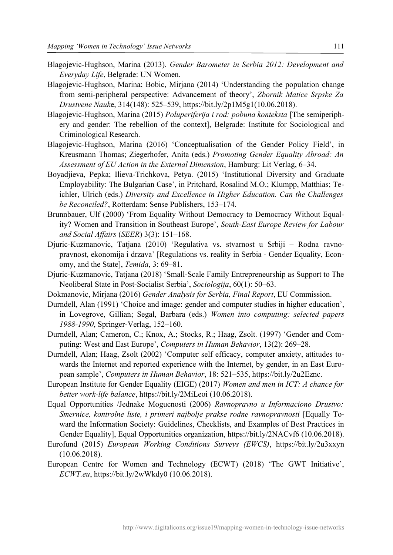- Blagojevic-Hughson, Marina (2013). *Gender Barometer in Serbia 2012: Development and Everyday Life*, Belgrade: UN Women.
- Blagojevic-Hughson, Marina; Bobic, Mirjana (2014) 'Understanding the population change from semi-peripheral perspective: Advancement of theory', *Zbornik Matice Srpske Za Drustvene Nauk*e, 314(148): 525–539, https://bit.ly/2p1M5g1(10.06.2018).
- Blagojevic-Hughson, Marina (2015) *Poluperiferija i rod: pobuna konteksta* [The semiperiphery and gender: The rebellion of the context], Belgrade: Institute for Sociological and Criminological Research.
- Blagojevic-Hughson, Marina (2016) 'Conceptualisation of the Gender Policy Field', in Kreusmann Thomas; Ziegerhofer, Anita (eds.) *Promoting Gender Equality Abroad: An Assessment of EU Action in the External Dimension*, Hamburg: Lit Verlag, 6–34.
- Boyadjieva, Pepka; Ilieva-Trichkova, Petya. (2015) 'Institutional Diversity and Graduate Employability: The Bulgarian Case', in Pritchard, Rosalind M.O.; Klumpp, Matthias; Teichler, Ulrich (eds.) *Diversity and Excellence in Higher Education. Can the Challenges be Reconciled?*, Rotterdam: Sense Publishers, 153–174.
- Brunnbauer, Ulf (2000) 'From Equality Without Democracy to Democracy Without Equality? Women and Transition in Southeast Europe', *South-East Europe Review for Labour and Social Affairs* (*SEER*) 3(3): 151–168.
- Djuric-Kuzmanovic, Tatjana (2010) 'Regulativa vs. stvarnost u Srbiji Rodna ravnopravnost, ekonomija i drzava' [Regulations vs. reality in Serbia - Gender Equality, Economy, and the State], *Temida*, 3: 69–81.
- Djuric-Kuzmanovic, Tatjana (2018) 'Small-Scale Family Entrepreneurship as Support to The Neoliberal State in Post-Socialist Serbia', *Sociologija*, 60(1): 50–63.
- Dokmanovic, Mirjana (2016) *Gender Analysis for Serbia, Final Report*, EU Commission.
- Durndell, Alan (1991) 'Choice and image: gender and computer studies in higher education', in Lovegrove, Gillian; Segal, Barbara (eds.) *Women into computing: selected papers 1988-1990*, Springer-Verlag, 152–160.
- Durndell, Alan; Cameron, C.; Knox, A.; Stocks, R.; Haag, Zsolt. (1997) 'Gender and Computing: West and East Europe', *Computers in Human Behavior*, 13(2): 269–28.
- Durndell, Alan; Haag, Zsolt (2002) 'Computer self efficacy, computer anxiety, attitudes towards the Internet and reported experience with the Internet, by gender, in an East European sample', *Computers in Human Behavior*, 18: 521–535, https://bit.ly/2u2Eznc.
- European Institute for Gender Equality (EIGE) (2017) *Women and men in ICT: A chance for better work-life balance*, https://bit.ly/2MiLeoi (10.06.2018).
- Equal Opportunities /Jednake Mogucnosti (2006) *Ravnopravno u Informaciono Drustvo: Smernice, kontrolne liste, i primeri najbolje prakse rodne ravnopravnosti* [Equally Toward the Information Society: Guidelines, Checklists, and Examples of Best Practices in Gender Equality], Equal Opportunities organization, https://bit.ly/2NACvf6 (10.06.2018).
- Eurofund (2015) *European Working Conditions Surveys (EWCS)*, https://bit.ly/2u3xxyn (10.06.2018).
- European Centre for Women and Technology (ECWT) (2018) 'The GWT Initiative', *ECWT.eu*, <https://bit.ly/2wWkdy0> (10.06.2018).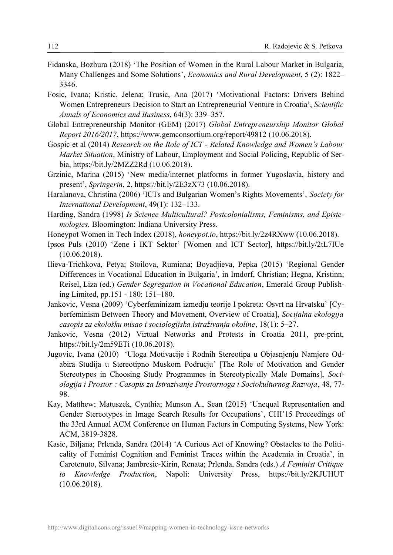- Fidanska, Bozhura (2018) 'The Position of Women in the Rural Labour Market in Bulgaria, Many Challenges and Some Solutions', *Economics and Rural Development*, 5 (2): 1822– 3346.
- Fosic, Ivana; Kristic, Jelena; Trusic, Ana (2017) 'Motivational Factors: Drivers Behind Women Entrepreneurs Decision to Start an Entrepreneurial Venture in Croatia', *Scientific Annals of Economics and Business*, 64(3): 339–357.
- Global Entrepreneurship Monitor (GEM) (2017) *Global Entrepreneurship Monitor Global Report 2016/2017*, https://www.gemconsortium.org/report/49812 (10.06.2018).
- Gospic et al (2014) *Research on the Role of ICT Related Knowledge and Women's Labour Market Situation*, Ministry of Labour, Employment and Social Policing, Republic of Serbia, https://bit.ly/2MZZ2Rd (10.06.2018).
- Grzinic, Marina (2015) 'New media/internet platforms in former Yugoslavia, history and present', *Springerin*, 2, https://bit.ly/2E3zX73 (10.06.2018).
- Haralanova, Christina (2006) 'ICTs and Bulgarian Women's Rights Movements', *Society for International Development*, 49(1): 132–133.
- Harding, Sandra (1998) *Is Science Multicultural? Postcolonialisms, Feminisms, and Epistemologies.* Bloomington: Indiana University Press.
- Honeypot Women in Tech Index (2018), *honeypot.io*, https://bit.ly/2z4RXww (10.06.2018).
- Ipsos Puls (2010) 'Zene i IKT Sektor' [Women and ICT Sector], https://bit.ly/2tL7IUe (10.06.2018).
- Ilieva-Trichkova, Petya; Stoilova, Rumiana; Boyadjieva, Pepka (2015) 'Regional Gender Differences in Vocational Education in Bulgaria', in Imdorf, Christian; Hegna, Kristinn; Reisel, Liza (ed.) *Gender Segregation in Vocational Education*, Emerald Group Publishing Limited, pp.151 - 180: 151–180.
- Jankovic, Vesna (2009) 'Cyberfeminizam izmedju teorije I pokreta: Osvrt na Hrvatsku' [Cyberfeminism Between Theory and Movement, Overview of Croatia], *Socijalna ekologija casopis za ekološku misao i sociologijska istraživanja okoline*, 18(1): 5–27.
- Jankovic, Vesna (2012) Virtual Networks and Protests in Croatia 2011, pre-print, https://bit.ly/2m59ETi (10.06.2018).
- Jugovic, Ivana (2010) 'Uloga Motivacije i Rodnih Stereotipa u Objasnjenju Namjere Odabira Studija u Stereotipno Muskom Podrucju' [The Role of Motivation and Gender Stereotypes in Choosing Study Programmes in Stereotypically Male Domains], *Sociologija i Prostor : Casopis za Istrazivanje Prostornoga i Sociokulturnog Razvoja*, 48, 77- 98.
- Kay, Matthew; Matuszek, Cynthia; Munson A., Sean (2015) 'Unequal Representation and Gender Stereotypes in Image Search Results for Occupations', CHI'15 Proceedings of the 33rd Annual ACM Conference on Human Factors in Computing Systems, New York: ACM, 3819-3828.
- Kasic, Biljana; Prlenda, Sandra (2014) 'A Curious Act of Knowing? Obstacles to the Politicality of Feminist Cognition and Feminist Traces within the Academia in Croatia', in Carotenuto, Silvana; Jambresic-Kirin, Renata; Prlenda, Sandra (eds.) *A Feminist Critique to Knowledge Production*, Napoli: University Press, https://bit.ly/2KJUHUT (10.06.2018).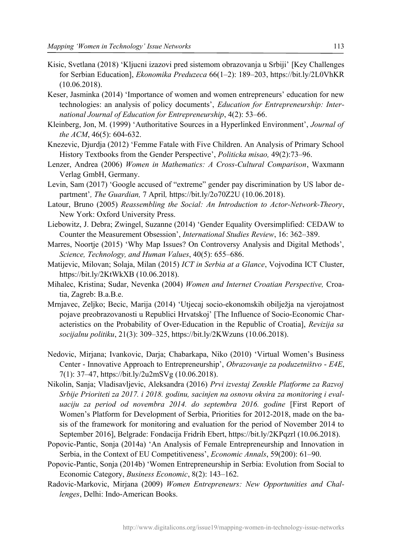- Kisic, Svetlana (2018) 'Kljucni izazovi pred sistemom obrazovanja u Srbiji' [Key Challenges for Serbian Education], *Ekonomika Preduzeca* 66(1–2): 189–203, https://bit.ly/2L0VhKR (10.06.2018).
- Keser, Jasminka (2014) 'Importance of women and women entrepreneurs' education for new technologies: an analysis of policy documents', *Education for Entrepreneurship: International Journal of Education for Entrepreneurship*, 4(2): 53–66.
- Kleinberg, Jon, M. (1999) 'Authoritative Sources in a Hyperlinked Environment', *Journal of the ACM*, 46(5): 604-632.
- Knezevic, Djurdja (2012) 'Femme Fatale with Five Children. An Analysis of Primary School History Textbooks from the Gender Perspective', *Politicka misao,* 49(2):73–96.
- Lenzer, Andrea (2006) *Women in Mathematics: A Cross-Cultural Comparison*, Waxmann Verlag GmbH, Germany.
- Levin, Sam (2017) 'Google accused of "extreme" gender pay discrimination by US labor department'*, The Guardian,* 7 April*,* https://bit.ly/2o70Z2U (10.06.2018).
- Latour, Bruno (2005) *Reassembling the Social: An Introduction to Actor-Network-Theory*, New York: Oxford University Press.
- Liebowitz, J. Debra; Zwingel, Suzanne (2014) 'Gender Equality Oversimplified: CEDAW to Counter the Measurement Obsession', *International Studies Review*, 16: 362–389.
- Marres, Noortje (2015) 'Why Map Issues? On Controversy Analysis and Digital Methods', *Science, Technology, and Human Values*, 40(5): 655–686.
- Matijevic, Milovan; Solaja, Milan (2015) *ICT in Serbia at a Glance*, Vojvodina ICT Cluster, https://bit.ly/2KtWkXB (10.06.2018).
- Mihalec, Kristina; Sudar, Nevenka (2004) *Women and Internet Croatian Perspective,* Croatia, Zagreb: B.a.B.e.
- Mrnjavec, Zeljko; Becic, Marija (2014) 'Utjecaj socio-ekonomskih obilježja na vjerojatnost pojave preobrazovanosti u Republici Hrvatskoj' [The Influence of Socio-Economic Characteristics on the Probability of Over-Education in the Republic of Croatia], *Revizija sa socijalnu politiku*, 21(3): 309–325, https://bit.ly/2KWzuns (10.06.2018).
- Nedovic, Mirjana; Ivankovic, Darja; Chabarkapa, Niko (2010) 'Virtual Women's Business Center - Innovative Approach to Entrepreneurship', *Obrazovanje za poduzetništvo* - *E4E*, 7(1): 37–47, https://bit.ly/2u2mSVg (10.06.2018).
- Nikolin, Sanja; Vladisavljevic, Aleksandra (2016) *Prvi izvestaj Zenskle Platforme za Razvoj Srbije Prioriteti za 2017. i 2018. godinu, sacinjen na osnovu okvira za monitoring i evaluaciju za period od novembra 2014. do septembra 2016. godine* [First Report of Women's Platform for Development of Serbia, Priorities for 2012-2018, made on the basis of the framework for monitoring and evaluation for the period of November 2014 to September 2016], Belgrade: Fondacija Fridrih Ebert, https://bit.ly/2KPqzrl (10.06.2018).
- Popovic-Pantic, Sonja (2014a) 'An Analysis of Female Entrepreneurship and Innovation in Serbia, in the Context of EU Competitiveness', *Economic Annals*, 59(200): 61–90.
- Popovic-Pantic, Sonja (2014b) 'Women Entrepreneurship in Serbia: Evolution from Social to Economic Category, *Business Economic*, 8(2): 143–162.
- Radovic-Markovic, Mirjana (2009) *Women Entrepreneurs: New Opportunities and Challenges*, Delhi: Indo-American Books.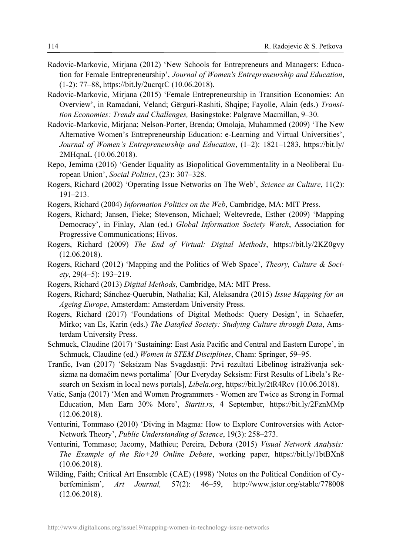- Radovic-Markovic, Mirjana (2012) 'New Schools for Entrepreneurs and Managers: Education for Female Entrepreneurship', *Journal of Women's Entrepreneurship and Education*, (1-2): 77–88, https://bit.ly/2ucrqrC (10.06.2018).
- Radovic-Markovic, Mirjana (2015) 'Female Entrepreneurship in Transition Economies: An Overview', in Ramadani, Veland; Gërguri-Rashiti, Shqipe; Fayolle, Alain (eds.) *Transition Economies: Trends and Challenges,* Basingstoke: Palgrave Macmillan, 9–30.
- Radovic-Markovic, Mirjana; Nelson-Porter, Brenda; Omolaja, Muhammed (2009) 'The New Alternative Women's Entrepreneurship Education: e-Learning and Virtual Universities', *Journal of Women's Entrepreneurship and Education*, (1–2): 1821–1283, https://bit.ly/ 2MHqnaL (10.06.2018).
- Repo, Jemima (2016) 'Gender Equality as Biopolitical Governmentality in a Neoliberal European Union', *Social Politics*, (23): 307–328.
- Rogers, Richard (2002) 'Operating Issue Networks on The Web', *Science as Culture*, 11(2): 191–213.
- Rogers, Richard (2004) *Information Politics on the Web*, Cambridge, MA: MIT Press.
- Rogers, Richard; Jansen, Fieke; Stevenson, Michael; Weltevrede, Esther (2009) 'Mapping Democracy', in Finlay, Alan (ed.) *Global Information Society Watch*, Association for Progressive Communications; Hivos.
- Rogers, Richard (2009) *The End of Virtual: Digital Methods*, https://bit.ly/2KZ0gvy (12.06.2018).
- Rogers, Richard (2012) 'Mapping and the Politics of Web Space', *Theory, Culture & Society*, 29(4–5): 193–219.
- Rogers, Richard (2013) *Digital Methods*, Cambridge, MA: MIT Press.
- Rogers, Richard; Sánchez-Querubín, Nathalia; Kil, Aleksandra (2015) *Issue Mapping for an Ageing Europe*, Amsterdam: Amsterdam University Press.
- Rogers, Richard (2017) 'Foundations of Digital Methods: Query Design', in Schaefer, Mirko; van Es, Karin (eds.) *The Datafied Society: Studying Culture through Data*, Amsterdam University Press.
- Schmuck, Claudine (2017) 'Sustaining: East Asia Pacific and Central and Eastern Europe', in Schmuck, Claudine (ed.) *Women in STEM Disciplines*, Cham: Springer, 59–95.
- Tranfic, Ivan (2017) 'Seksizam Nas Svagdasnji: Prvi rezultati Libelinog istraživanja seksizma na domaćim news portalima' [Our Everyday Seksism: First Results of Libela's Research on Sexism in local news portals], *Libela.org*, https://bit.ly/2tR4Rcv (10.06.2018).
- Vatic, Sanja (2017) 'Men and Women Programmers Women are Twice as Strong in Formal Education, Men Earn 30% More', *Startit.rs*, 4 September, https://bit.ly/2FznMMp (12.06.2018).
- Venturini, Tommaso (2010) 'Diving in Magma: How to Explore Controversies with Actor-Network Theory', *Public Understanding of Science*, 19(3): 258–273.
- Venturini, Tommaso; Jacomy, Mathieu; Pereira, Debora (2015) *Visual Network Analysis: The Example of the Rio+20 Online Debate*, working paper, https://bit.ly/1btBXn8 (10.06.2018).
- Wilding, Faith; Critical Art Ensemble (CAE) (1998) 'Notes on the Political Condition of Cyberfeminism', *Art Journal,* 57(2): 46–59, http://www.jstor.org/stable/778008 (12.06.2018).